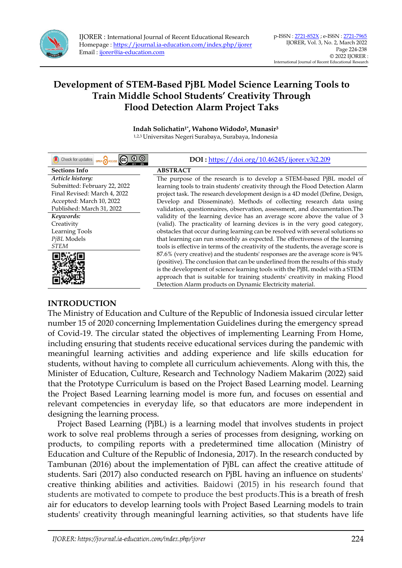

**Indah Solichatin1\* , Wahono Widodo<sup>2</sup> , Munasir<sup>3</sup>** 1,2,3 Universitas Negeri Surabaya, Surabaya, Indonesia

| $\odot$ $\odot$<br>OPEN CACCESS CC<br>Check for updates | DOI: https://doi.org/10.46245/ijorer.v3i2.209                                       |
|---------------------------------------------------------|-------------------------------------------------------------------------------------|
| <b>Sections Info</b>                                    | <b>ABSTRACT</b>                                                                     |
| Article history:                                        | The purpose of the research is to develop a STEM-based PjBL model of                |
| Submitted: February 22, 2022                            | learning tools to train students' creativity through the Flood Detection Alarm      |
| Final Revised: March 4, 2022                            | project task. The research development design is a 4D model (Define, Design,        |
| Accepted: March 10, 2022                                | Develop and Disseminate). Methods of collecting research data using                 |
| Published: March 31, 2022                               | validation, questionnaires, observation, assessment, and documentation. The         |
| Keywords:                                               | validity of the learning device has an average score above the value of 3           |
| Creativity                                              | (valid). The practicality of learning devices is in the very good category,         |
| <b>Learning Tools</b>                                   | obstacles that occur during learning can be resolved with several solutions so      |
| PjBL Models                                             | that learning can run smoothly as expected. The effectiveness of the learning       |
| <b>STEM</b>                                             | tools is effective in terms of the creativity of the students, the average score is |
|                                                         | 87.6% (very creative) and the students' responses are the average score is 94%      |
|                                                         | (positive). The conclusion that can be underlined from the results of this study    |
|                                                         | is the development of science learning tools with the PjBL model with a STEM        |
|                                                         | approach that is suitable for training students' creativity in making Flood         |
|                                                         | Detection Alarm products on Dynamic Electricity material.                           |

### **INTRODUCTION**

The Ministry of Education and Culture of the Republic of Indonesia issued circular letter number 15 of 2020 concerning Implementation Guidelines during the emergency spread of Covid-19. The circular stated the objectives of implementing Learning From Home, including ensuring that students receive educational services during the pandemic with meaningful learning activities and adding experience and life skills education for students, without having to complete all curriculum achievements. Along with this, the Minister of Education, Culture, Research and Technology Nadiem Makarim (2022) said that the Prototype Curriculum is based on the Project Based Learning model. Learning the Project Based Learning learning model is more fun, and focuses on essential and relevant competencies in everyday life, so that educators are more independent in designing the learning process.

Project Based Learning (PjBL) is a learning model that involves students in project work to solve real problems through a series of processes from designing, working on products, to compiling reports with a predetermined time allocation (Ministry of Education and Culture of the Republic of Indonesia, 2017). In the research conducted by Tambunan (2016) about the implementation of PjBL can affect the creative attitude of students. Sari (2017) also conducted research on PjBL having an influence on students' creative thinking abilities and activities. Baidowi (2015) in his research found that students are motivated to compete to produce the best products.This is a breath of fresh air for educators to develop learning tools with Project Based Learning models to train students' creativity through meaningful learning activities, so that students have life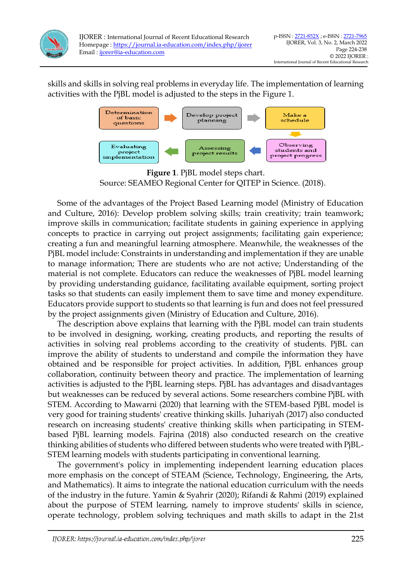

IJORER : International Journal of Recent Educational Research Homepage :<https://journal.ia-education.com/index.php/ijorer> Email [: ijorer@ia-education.com](file:///C:/Users/Tatangm/Downloads/ijorer@ia-education.com)

skills and skills in solving real problems in everyday life. The implementation of learning activities with the PjBL model is adjusted to the steps in the Figure 1.



**Figure 1**. PjBL model steps chart. Source: SEAMEO Regional Center for QITEP in Science. (2018).

Some of the advantages of the Project Based Learning model (Ministry of Education and Culture, 2016): Develop problem solving skills; train creativity; train teamwork; improve skills in communication; facilitate students in gaining experience in applying concepts to practice in carrying out project assignments; facilitating gain experience; creating a fun and meaningful learning atmosphere. Meanwhile, the weaknesses of the PjBL model include: Constraints in understanding and implementation if they are unable to manage information; There are students who are not active; Understanding of the material is not complete. Educators can reduce the weaknesses of PjBL model learning by providing understanding guidance, facilitating available equipment, sorting project tasks so that students can easily implement them to save time and money expenditure. Educators provide support to students so that learning is fun and does not feel pressured by the project assignments given (Ministry of Education and Culture, 2016).

The description above explains that learning with the PjBL model can train students to be involved in designing, working, creating products, and reporting the results of activities in solving real problems according to the creativity of students. PjBL can improve the ability of students to understand and compile the information they have obtained and be responsible for project activities. In addition, PjBL enhances group collaboration, continuity between theory and practice. The implementation of learning activities is adjusted to the PjBL learning steps. PjBL has advantages and disadvantages but weaknesses can be reduced by several actions. Some researchers combine PjBL with STEM. According to Mawarni (2020) that learning with the STEM-based PjBL model is very good for training students' creative thinking skills. Juhariyah (2017) also conducted research on increasing students' creative thinking skills when participating in STEMbased PjBL learning models. Fajrina (2018) also conducted research on the creative thinking abilities of students who differed between students who were treated with PjBL-STEM learning models with students participating in conventional learning.

The government's policy in implementing independent learning education places more emphasis on the concept of STEAM (Science, Technology, Engineering, the Arts, and Mathematics). It aims to integrate the national education curriculum with the needs of the industry in the future. Yamin & Syahrir (2020); Rifandi & Rahmi (2019) explained about the purpose of STEM learning, namely to improve students' skills in science, operate technology, problem solving techniques and math skills to adapt in the 21st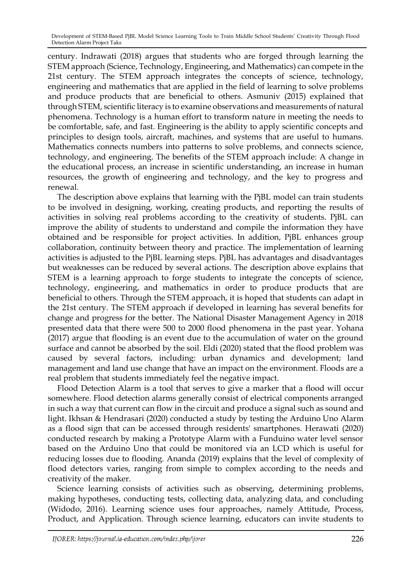century. Indrawati (2018) argues that students who are forged through learning the STEM approach (Science, Technology, Engineering, and Mathematics) can compete in the 21st century. The STEM approach integrates the concepts of science, technology, engineering and mathematics that are applied in the field of learning to solve problems and produce products that are beneficial to others. Asmuniv (2015) explained that through STEM, scientific literacy is to examine observations and measurements of natural phenomena. Technology is a human effort to transform nature in meeting the needs to be comfortable, safe, and fast. Engineering is the ability to apply scientific concepts and principles to design tools, aircraft, machines, and systems that are useful to humans. Mathematics connects numbers into patterns to solve problems, and connects science, technology, and engineering. The benefits of the STEM approach include: A change in the educational process, an increase in scientific understanding, an increase in human resources, the growth of engineering and technology, and the key to progress and renewal.

The description above explains that learning with the PjBL model can train students to be involved in designing, working, creating products, and reporting the results of activities in solving real problems according to the creativity of students. PjBL can improve the ability of students to understand and compile the information they have obtained and be responsible for project activities. In addition, PjBL enhances group collaboration, continuity between theory and practice. The implementation of learning activities is adjusted to the PjBL learning steps. PjBL has advantages and disadvantages but weaknesses can be reduced by several actions. The description above explains that STEM is a learning approach to forge students to integrate the concepts of science, technology, engineering, and mathematics in order to produce products that are beneficial to others. Through the STEM approach, it is hoped that students can adapt in the 21st century. The STEM approach if developed in learning has several benefits for change and progress for the better. The National Disaster Management Agency in 2018 presented data that there were 500 to 2000 flood phenomena in the past year. Yohana (2017) argue that flooding is an event due to the accumulation of water on the ground surface and cannot be absorbed by the soil. Eldi (2020) stated that the flood problem was caused by several factors, including: urban dynamics and development; land management and land use change that have an impact on the environment. Floods are a real problem that students immediately feel the negative impact.

Flood Detection Alarm is a tool that serves to give a marker that a flood will occur somewhere. Flood detection alarms generally consist of electrical components arranged in such a way that current can flow in the circuit and produce a signal such as sound and light. Ikhsan & Hendrasari (2020) conducted a study by testing the Arduino Uno Alarm as a flood sign that can be accessed through residents' smartphones. Herawati (2020) conducted research by making a Prototype Alarm with a Funduino water level sensor based on the Arduino Uno that could be monitored via an LCD which is useful for reducing losses due to flooding. Ananda (2019) explains that the level of complexity of flood detectors varies, ranging from simple to complex according to the needs and creativity of the maker.

Science learning consists of activities such as observing, determining problems, making hypotheses, conducting tests, collecting data, analyzing data, and concluding (Widodo, 2016). Learning science uses four approaches, namely Attitude, Process, Product, and Application. Through science learning, educators can invite students to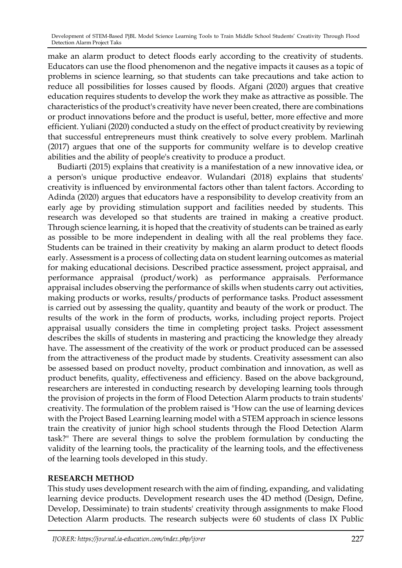make an alarm product to detect floods early according to the creativity of students. Educators can use the flood phenomenon and the negative impacts it causes as a topic of problems in science learning, so that students can take precautions and take action to reduce all possibilities for losses caused by floods. Afgani (2020) argues that creative education requires students to develop the work they make as attractive as possible. The characteristics of the product's creativity have never been created, there are combinations or product innovations before and the product is useful, better, more effective and more efficient. Yuliani (2020) conducted a study on the effect of product creativity by reviewing that successful entrepreneurs must think creatively to solve every problem. Marlinah (2017) argues that one of the supports for community welfare is to develop creative abilities and the ability of people's creativity to produce a product.

Budiarti (2015) explains that creativity is a manifestation of a new innovative idea, or a person's unique productive endeavor. Wulandari (2018) explains that students' creativity is influenced by environmental factors other than talent factors. According to Adinda (2020) argues that educators have a responsibility to develop creativity from an early age by providing stimulation support and facilities needed by students. This research was developed so that students are trained in making a creative product. Through science learning, it is hoped that the creativity of students can be trained as early as possible to be more independent in dealing with all the real problems they face. Students can be trained in their creativity by making an alarm product to detect floods early. Assessment is a process of collecting data on student learning outcomes as material for making educational decisions. Described practice assessment, project appraisal, and performance appraisal (product/work) as performance appraisals. Performance appraisal includes observing the performance of skills when students carry out activities, making products or works, results/products of performance tasks. Product assessment is carried out by assessing the quality, quantity and beauty of the work or product. The results of the work in the form of products, works, including project reports. Project appraisal usually considers the time in completing project tasks. Project assessment describes the skills of students in mastering and practicing the knowledge they already have. The assessment of the creativity of the work or product produced can be assessed from the attractiveness of the product made by students. Creativity assessment can also be assessed based on product novelty, product combination and innovation, as well as product benefits, quality, effectiveness and efficiency. Based on the above background, researchers are interested in conducting research by developing learning tools through the provision of projects in the form of Flood Detection Alarm products to train students' creativity. The formulation of the problem raised is "How can the use of learning devices with the Project Based Learning learning model with a STEM approach in science lessons train the creativity of junior high school students through the Flood Detection Alarm task?" There are several things to solve the problem formulation by conducting the validity of the learning tools, the practicality of the learning tools, and the effectiveness of the learning tools developed in this study.

### **RESEARCH METHOD**

This study uses development research with the aim of finding, expanding, and validating learning device products. Development research uses the 4D method (Design, Define, Develop, Dessiminate) to train students' creativity through assignments to make Flood Detection Alarm products. The research subjects were 60 students of class IX Public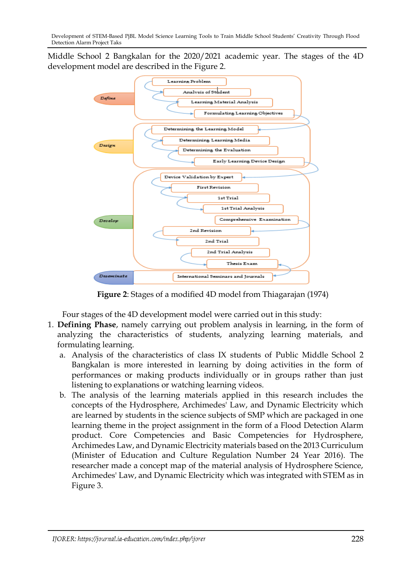Middle School 2 Bangkalan for the 2020/2021 academic year. The stages of the 4D development model are described in the Figure 2.



**Figure 2**: Stages of a modified 4D model from Thiagarajan (1974)

Four stages of the 4D development model were carried out in this study:

- 1. **Defining Phase**, namely carrying out problem analysis in learning, in the form of analyzing the characteristics of students, analyzing learning materials, and formulating learning.
	- a. Analysis of the characteristics of class IX students of Public Middle School 2 Bangkalan is more interested in learning by doing activities in the form of performances or making products individually or in groups rather than just listening to explanations or watching learning videos.
	- b. The analysis of the learning materials applied in this research includes the concepts of the Hydrosphere, Archimedes' Law, and Dynamic Electricity which are learned by students in the science subjects of SMP which are packaged in one learning theme in the project assignment in the form of a Flood Detection Alarm product. Core Competencies and Basic Competencies for Hydrosphere, Archimedes Law, and Dynamic Electricity materials based on the 2013 Curriculum (Minister of Education and Culture Regulation Number 24 Year 2016). The researcher made a concept map of the material analysis of Hydrosphere Science, Archimedes' Law, and Dynamic Electricity which was integrated with STEM as in Figure 3.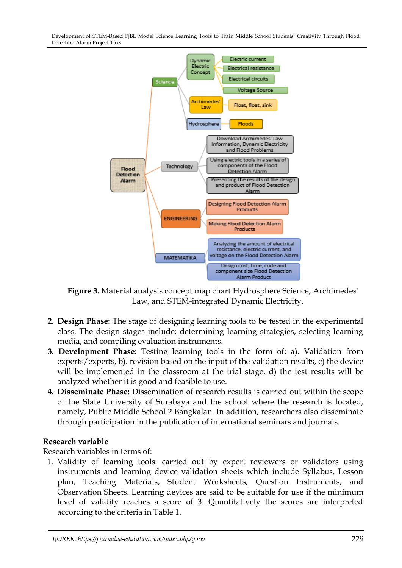

**Figure 3.** Material analysis concept map chart Hydrosphere Science, Archimedes' Law, and STEM-integrated Dynamic Electricity.

- **2. Design Phase:** The stage of designing learning tools to be tested in the experimental class. The design stages include: determining learning strategies, selecting learning media, and compiling evaluation instruments.
- **3. Development Phase:** Testing learning tools in the form of: a). Validation from experts/experts, b). revision based on the input of the validation results, c) the device will be implemented in the classroom at the trial stage, d) the test results will be analyzed whether it is good and feasible to use.
- **4. Disseminate Phase:** Dissemination of research results is carried out within the scope of the State University of Surabaya and the school where the research is located, namely, Public Middle School 2 Bangkalan. In addition, researchers also disseminate through participation in the publication of international seminars and journals.

### **Research variable**

Research variables in terms of:

1. Validity of learning tools: carried out by expert reviewers or validators using instruments and learning device validation sheets which include Syllabus, Lesson plan, Teaching Materials, Student Worksheets, Question Instruments, and Observation Sheets. Learning devices are said to be suitable for use if the minimum level of validity reaches a score of 3. Quantitatively the scores are interpreted according to the criteria in Table 1.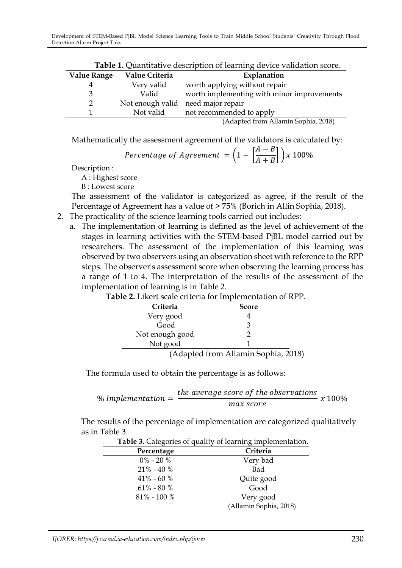| <b>Table 1.</b> Quantitative description of learning device vanuation score. |                |                                                       |  |  |
|------------------------------------------------------------------------------|----------------|-------------------------------------------------------|--|--|
| <b>Value Range</b>                                                           | Value Criteria | Explanation                                           |  |  |
|                                                                              | Very valid     | worth applying without repair                         |  |  |
| 3                                                                            | Valid          | worth implementing with minor improvements            |  |  |
| C.                                                                           |                | Not enough valid need major repair                    |  |  |
|                                                                              | Not valid      | not recommended to apply                              |  |  |
|                                                                              |                | $(A \text{dashed from } \text{Allamin}$ Combia $2018$ |  |  |

**Table 1.** Quantitative description of learning device validation score.

(Adapted from Allamin Sophia, 2018)

Mathematically the assessment agreement of the validators is calculated by:

$$
Percentage of Agreement = \left(1 - \left[\frac{A-B}{A+B}\right]\right)x \, 100\%
$$

Description :

A : Highest score

B : Lowest score

The assessment of the validator is categorized as agree, if the result of the Percentage of Agreement has a value of > 75% (Borich in Allin Sophia, 2018).

- 2. The practicality of the science learning tools carried out includes:
	- a. The implementation of learning is defined as the level of achievement of the stages in learning activities with the STEM-based PjBL model carried out by researchers. The assessment of the implementation of this learning was observed by two observers using an observation sheet with reference to the RPP steps. The observer's assessment score when observing the learning process has a range of 1 to 4. The interpretation of the results of the assessment of the implementation of learning is in Table 2.

| Criteria        | <b>Score</b>                        |  |
|-----------------|-------------------------------------|--|
| Very good       |                                     |  |
| Good            | 3                                   |  |
| Not enough good |                                     |  |
| Not good        |                                     |  |
|                 | (Adapted from Allamin Sophia, 2018) |  |

| Table 2. Likert scale criteria for Implementation of RPP. |
|-----------------------------------------------------------|
|                                                           |

The formula used to obtain the percentage is as follows:

% Implementation = 
$$
\frac{the average score of the observations}{max score} x 100\%
$$

The results of the percentage of implementation are categorized qualitatively as in Table 3.

| Table 3. Categories of quality of learning implementation. |                        |  |  |  |
|------------------------------------------------------------|------------------------|--|--|--|
| Percentage                                                 | Criteria               |  |  |  |
| $0\% - 20\%$                                               | Very bad               |  |  |  |
| $21\% - 40\%$                                              | Bad                    |  |  |  |
| $41\% - 60\%$                                              | Quite good             |  |  |  |
| $61\% - 80\%$                                              | Good                   |  |  |  |
| $81\%$ - $100\%$                                           | Very good              |  |  |  |
|                                                            | (Allamin Sophia, 2018) |  |  |  |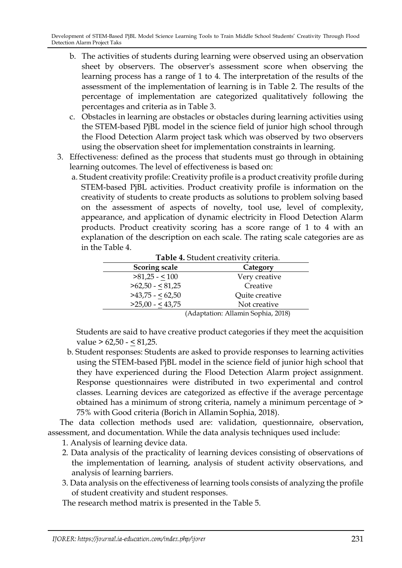- b. The activities of students during learning were observed using an observation sheet by observers. The observer's assessment score when observing the learning process has a range of 1 to 4. The interpretation of the results of the assessment of the implementation of learning is in Table 2. The results of the percentage of implementation are categorized qualitatively following the percentages and criteria as in Table 3.
- c. Obstacles in learning are obstacles or obstacles during learning activities using the STEM-based PjBL model in the science field of junior high school through the Flood Detection Alarm project task which was observed by two observers using the observation sheet for implementation constraints in learning.
- 3. Effectiveness: defined as the process that students must go through in obtaining learning outcomes. The level of effectiveness is based on:
	- a. Student creativity profile: Creativity profile is a product creativity profile during STEM-based PjBL activities. Product creativity profile is information on the creativity of students to create products as solutions to problem solving based on the assessment of aspects of novelty, tool use, level of complexity, appearance, and application of dynamic electricity in Flood Detection Alarm products. Product creativity scoring has a score range of 1 to 4 with an explanation of the description on each scale. The rating scale categories are as in the Table 4.

| Table 4. Student creativity criteria. |                |  |  |
|---------------------------------------|----------------|--|--|
| <b>Scoring scale</b>                  | Category       |  |  |
| $>81,25 - 100$                        | Very creative  |  |  |
| $>62,50 - 81,25$                      | Creative       |  |  |
| $>43,75 - 62,50$                      | Quite creative |  |  |
| $>25,00 - 43,75$                      | Not creative   |  |  |
| (Adaptation: Allamin Sophia, 2018)    |                |  |  |

**Table 4.** Student creativity criteria.

Students are said to have creative product categories if they meet the acquisition  $value > 62,50 - 53,25.$ 

b. Student responses: Students are asked to provide responses to learning activities using the STEM-based PjBL model in the science field of junior high school that they have experienced during the Flood Detection Alarm project assignment. Response questionnaires were distributed in two experimental and control classes. Learning devices are categorized as effective if the average percentage obtained has a minimum of strong criteria, namely a minimum percentage of > 75% with Good criteria (Borich in Allamin Sophia, 2018).

The data collection methods used are: validation, questionnaire, observation, assessment, and documentation. While the data analysis techniques used include:

1. Analysis of learning device data.

- 2. Data analysis of the practicality of learning devices consisting of observations of the implementation of learning, analysis of student activity observations, and analysis of learning barriers.
- 3. Data analysis on the effectiveness of learning tools consists of analyzing the profile of student creativity and student responses.

The research method matrix is presented in the Table 5.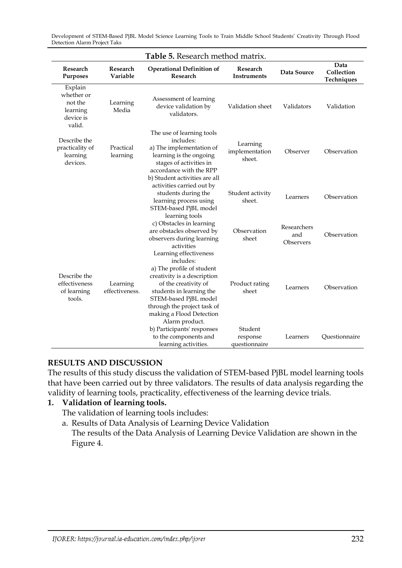| Table 5. Research method matrix.                                    |                            |                                                                                                                                                                                                                                                           |                                      |                                 |                                  |  |
|---------------------------------------------------------------------|----------------------------|-----------------------------------------------------------------------------------------------------------------------------------------------------------------------------------------------------------------------------------------------------------|--------------------------------------|---------------------------------|----------------------------------|--|
| Research<br>Research<br>Variable<br>Purposes                        |                            | <b>Operational Definition of</b><br>Research                                                                                                                                                                                                              | Research<br><b>Instruments</b>       | Data Source                     | Data<br>Collection<br>Techniques |  |
| Explain<br>whether or<br>not the<br>learning<br>device is<br>valid. | Learning<br>Media          | Assessment of learning<br>device validation by<br>validators.                                                                                                                                                                                             | Validation sheet                     | Validators                      | Validation                       |  |
| Describe the<br>practicality of<br>learning<br>devices.             | Practical<br>learning      | The use of learning tools<br>includes:<br>a) The implementation of<br>learning is the ongoing<br>stages of activities in<br>accordance with the RPP<br>b) Student activities are all                                                                      | Learning<br>implementation<br>sheet. | Observer                        | Observation                      |  |
|                                                                     |                            | activities carried out by<br>students during the<br>learning process using<br>STEM-based PjBL model                                                                                                                                                       | Student activity<br>sheet.           | Learners                        | Observation                      |  |
|                                                                     |                            | learning tools<br>c) Obstacles in learning<br>are obstacles observed by<br>observers during learning<br>activities                                                                                                                                        | Observation<br>sheet                 | Researchers<br>and<br>Observers | Observation                      |  |
| Describe the<br>effectiveness<br>of learning<br>tools.              | Learning<br>effectiveness. | Learning effectiveness<br>includes:<br>a) The profile of student<br>creativity is a description<br>of the creativity of<br>students in learning the<br>STEM-based PjBL model<br>through the project task of<br>making a Flood Detection<br>Alarm product. | Product rating<br>sheet              | Learners                        | Observation                      |  |
|                                                                     |                            | b) Participants' responses<br>to the components and<br>learning activities.                                                                                                                                                                               | Student<br>response<br>questionnaire | Learners                        | Questionnaire                    |  |

#### **RESULTS AND DISCUSSION**

The results of this study discuss the validation of STEM-based PjBL model learning tools that have been carried out by three validators. The results of data analysis regarding the validity of learning tools, practicality, effectiveness of the learning device trials.

## **1. Validation of learning tools.**

- The validation of learning tools includes:
- a. Results of Data Analysis of Learning Device Validation The results of the Data Analysis of Learning Device Validation are shown in the Figure 4.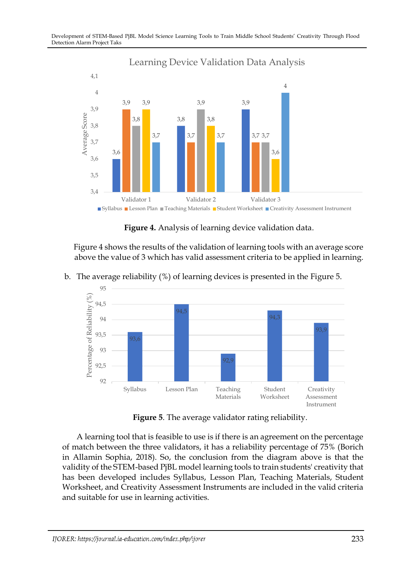

**Figure 4.** Analysis of learning device validation data.

Figure 4 shows the results of the validation of learning tools with an average score above the value of 3 which has valid assessment criteria to be applied in learning.



b. The average reliability (%) of learning devices is presented in the Figure 5.

**Figure 5**. The average validator rating reliability.

A learning tool that is feasible to use is if there is an agreement on the percentage of match between the three validators, it has a reliability percentage of 75% (Borich in Allamin Sophia, 2018). So, the conclusion from the diagram above is that the validity of the STEM-based PjBL model learning tools to train students' creativity that has been developed includes Syllabus, Lesson Plan, Teaching Materials, Student Worksheet, and Creativity Assessment Instruments are included in the valid criteria and suitable for use in learning activities.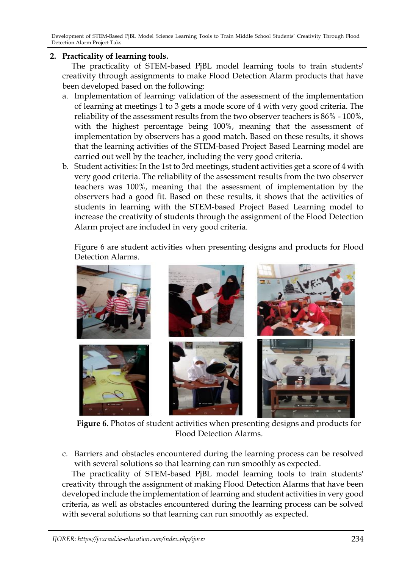#### **2. Practicality of learning tools.**

The practicality of STEM-based PjBL model learning tools to train students' creativity through assignments to make Flood Detection Alarm products that have been developed based on the following:

- a. Implementation of learning: validation of the assessment of the implementation of learning at meetings 1 to 3 gets a mode score of 4 with very good criteria. The reliability of the assessment results from the two observer teachers is 86% - 100%, with the highest percentage being 100%, meaning that the assessment of implementation by observers has a good match. Based on these results, it shows that the learning activities of the STEM-based Project Based Learning model are carried out well by the teacher, including the very good criteria.
- b. Student activities: In the 1st to 3rd meetings, student activities get a score of 4 with very good criteria. The reliability of the assessment results from the two observer teachers was 100%, meaning that the assessment of implementation by the observers had a good fit. Based on these results, it shows that the activities of students in learning with the STEM-based Project Based Learning model to increase the creativity of students through the assignment of the Flood Detection Alarm project are included in very good criteria.

Figure 6 are student activities when presenting designs and products for Flood Detection Alarms.



**Figure 6.** Photos of student activities when presenting designs and products for Flood Detection Alarms.

c. Barriers and obstacles encountered during the learning process can be resolved with several solutions so that learning can run smoothly as expected.

The practicality of STEM-based PjBL model learning tools to train students' creativity through the assignment of making Flood Detection Alarms that have been developed include the implementation of learning and student activities in very good criteria, as well as obstacles encountered during the learning process can be solved with several solutions so that learning can run smoothly as expected.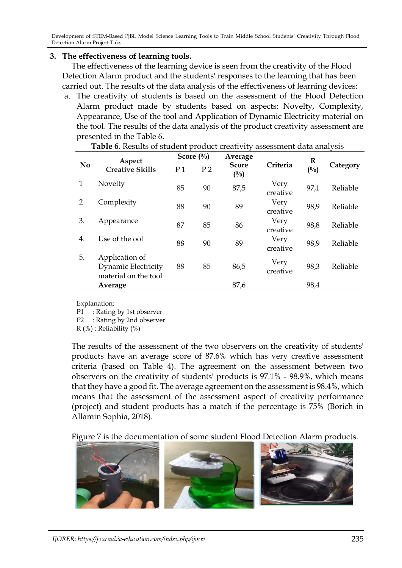#### **3. The effectiveness of learning tools.**

The effectiveness of the learning device is seen from the creativity of the Flood Detection Alarm product and the students' responses to the learning that has been carried out. The results of the data analysis of the effectiveness of learning devices:

a. The creativity of students is based on the assessment of the Flood Detection Alarm product made by students based on aspects: Novelty, Complexity, Appearance, Use of the tool and Application of Dynamic Electricity material on the tool. The results of the data analysis of the product creativity assessment are presented in the Table 6.

|                | Aspect<br><b>Creative Skills</b>                              | Score $(\%)$   |                | Average             |                  | R     |          |
|----------------|---------------------------------------------------------------|----------------|----------------|---------------------|------------------|-------|----------|
| N <sub>0</sub> |                                                               | P <sub>1</sub> | P <sub>2</sub> | <b>Score</b><br>(%) | Criteria         | (0/0) | Category |
| 1              | Novelty                                                       | 85             | 90             | 87,5                | Very<br>creative | 97,1  | Reliable |
| $\overline{2}$ | Complexity                                                    | 88             | 90             | 89                  | Very<br>creative | 98,9  | Reliable |
| 3.             | Appearance                                                    | 87             | 85             | 86                  | Very<br>creative | 98,8  | Reliable |
| 4.             | Use of the ool                                                | 88             | 90             | 89                  | Very<br>creative | 98,9  | Reliable |
| 5.             | Application of<br>Dynamic Electricity<br>material on the tool | 88             | 85             | 86,5                | Very<br>creative | 98,3  | Reliable |
|                | Average                                                       |                |                | 87,6                |                  | 98,4  |          |

**Table 6.** Results of student product creativity assessment data analysis

#### Explanation:

P1 : Rating by 1st observer

P2 : Rating by 2nd observer

 $R$  (%) : Reliability (%)

The results of the assessment of the two observers on the creativity of students' products have an average score of 87.6% which has very creative assessment criteria (based on Table 4). The agreement on the assessment between two observers on the creativity of students' products is 97.1% - 98.9%, which means that they have a good fit. The average agreement on the assessment is 98.4%, which means that the assessment of the assessment aspect of creativity performance (project) and student products has a match if the percentage is 75% (Borich in Allamin Sophia, 2018).

Figure 7 is the documentation of some student Flood Detection Alarm products.

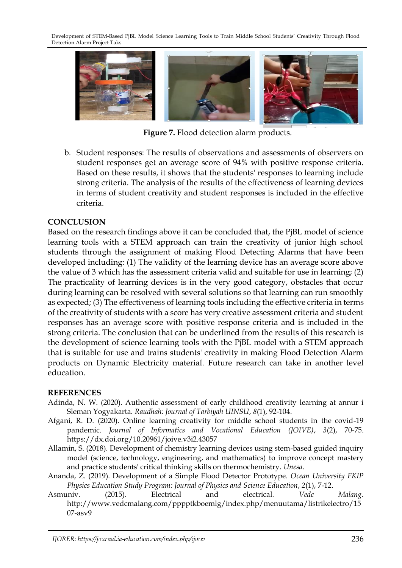

**Figure 7.** Flood detection alarm products.

b. Student responses: The results of observations and assessments of observers on student responses get an average score of 94% with positive response criteria. Based on these results, it shows that the students' responses to learning include strong criteria. The analysis of the results of the effectiveness of learning devices in terms of student creativity and student responses is included in the effective criteria.

#### **CONCLUSION**

Based on the research findings above it can be concluded that, the PjBL model of science learning tools with a STEM approach can train the creativity of junior high school students through the assignment of making Flood Detecting Alarms that have been developed including: (1) The validity of the learning device has an average score above the value of 3 which has the assessment criteria valid and suitable for use in learning; (2) The practicality of learning devices is in the very good category, obstacles that occur during learning can be resolved with several solutions so that learning can run smoothly as expected; (3) The effectiveness of learning tools including the effective criteria in terms of the creativity of students with a score has very creative assessment criteria and student responses has an average score with positive response criteria and is included in the strong criteria. The conclusion that can be underlined from the results of this research is the development of science learning tools with the PjBL model with a STEM approach that is suitable for use and trains students' creativity in making Flood Detection Alarm products on Dynamic Electricity material. Future research can take in another level education.

#### **REFERENCES**

- Adinda, N. W. (2020). Authentic assessment of early childhood creativity learning at annur i Sleman Yogyakarta. *Raudhah: Journal of Tarbiyah UINSU*, *8*(1), 92-104.
- Afgani, R. D. (2020). Online learning creativity for middle school students in the covid-19 pandemic. *Journal of Informatics and Vocational Education (JOIVE)*, *3*(2), 70-75. <https://dx.doi.org/10.20961/joive.v3i2.43057>
- Allamin, S. (2018). Development of chemistry learning devices using stem-based guided inquiry model (science, technology, engineering, and mathematics) to improve concept mastery and practice students' critical thinking skills on thermochemistry. *Unesa*.
- Ananda, Z. (2019). Development of a Simple Flood Detector Prototype*. Ocean University FKIP Physics Education Study Program: Journal of Physics and Science Education*, *2*(1), 7-12.
- Asmuniv. (2015). Electrical and electrical*. Vedc Malang*. [http://www.vedcmalang.com/pppptkboemlg/index.php/menuutama/listrikelectro/15](http://www.vedcmalang.com/pppptkboemlg/index.php/menuutama/listrikelectro/1507-asv9) [07-asv9](http://www.vedcmalang.com/pppptkboemlg/index.php/menuutama/listrikelectro/1507-asv9)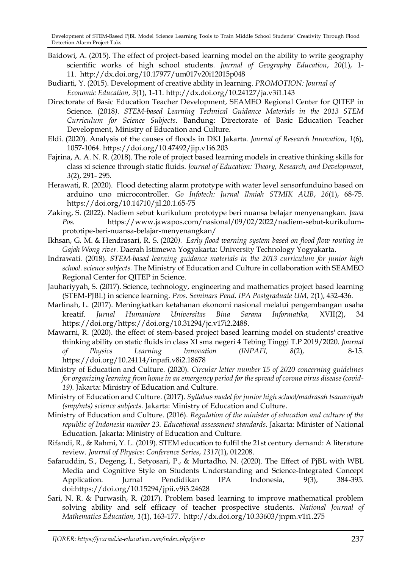- Baidowi, A. (2015). The effect of project-based learning model on the ability to write geography scientific works of high school students*. Journal of Geography Education*, *20*(1), 1- 11. <http://dx.doi.org/10.17977/um017v20i12015p048>
- Budiarti, Y. (2015). Development of creative ability in learning. *PROMOTION: Journal of Economic Education, 3*(1), 1-11. <http://dx.doi.org/10.24127/ja.v3i1.143>
- Directorate of Basic Education Teacher Development, SEAMEO Regional Center for QITEP in Science. (2018*). STEM-based Learning Technical Guidance Materials in the 2013 STEM Curriculum for Science Subjects*. Bandung: Directorate of Basic Education Teacher Development, Ministry of Education and Culture.
- Eldi. (2020). Analysis of the causes of floods in DKI Jakarta. *Journal of Research Innovation*, *1*(6), 1057-1064. <https://doi.org/10.47492/jip.v1i6.203>
- Fajrina, A. A. N. R. (2018). The role of project based learning models in creative thinking skills for class xi science through static fluids. *Journal of Education: Theory, Research, and Development*, *3*(2), 291- 295.
- Herawati, R. (2020). Flood detecting alarm prototype with water level sensorfunduino based on arduino uno microcontroller*. Go Infotech: Jurnal Ilmiah STMIK AUB*, *26*(1), 68-75. <https://doi.org/10.14710/jil.20.1.65-75>
- Zaking, S. (2022). Nadiem sebut kurikulum prototype beri nuansa belajar menyenangkan. *Jawa Pos.* [https://www.jawapos.com/nasional/09/02/2022/nadiem-sebut-kurikulum](https://www.jawapos.com/nasional/09/02/2022/nadiem-sebut-kurikulum-prototipe-beri-nuansa-belajar-menyenangkan/)[prototipe-beri-nuansa-belajar-menyenangkan/](https://www.jawapos.com/nasional/09/02/2022/nadiem-sebut-kurikulum-prototipe-beri-nuansa-belajar-menyenangkan/)
- Ikhsan, G. M. & Hendrasari, R. S. (2020*). Early flood warning system based on flood flow routing in Gajah Wong river.* Daerah Istimewa Yogyakarta: University Technology Yogyakarta.
- Indrawati. (2018). *STEM-based learning guidance materials in the 2013 curriculum for junior high school. science subjects.* The Ministry of Education and Culture in collaboration with SEAMEO Regional Center for QITEP in Science.
- Jauhariyyah, S. (2017). Science, technology, engineering and mathematics project based learning (STEM-PJBL) in science learning. *Pros. Seminars Pend. IPA Postgraduate UM, 2*(1), 432-436*.*
- Marlinah, L. (2017). Meningkatkan ketahanan ekonomi nasional melalui pengembangan usaha kreatif. *Jurnal Humaniora Universitas Bina Sarana Informatika,* XVII(2), 34 [https://doi.org/https://doi.org/10.31294/jc.v17i2.2488.](https://doi.org/https:/doi.org/10.31294/jc.v17i2.2488)
- Mawarni, R. (2020). the effect of stem-based project based learning model on students' creative thinking ability on static fluids in class XI sma negeri 4 Tebing Tinggi T.P 2019/2020*. Journal of Physics Learning Innovation (INPAFI, 8*(2), 8-15. <https://doi.org/10.24114/inpafi.v8i2.18678>
- Ministry of Education and Culture. (2020). *Circular letter number 15 of 2020 concerning guidelines for organizing learning from home in an emergency period for the spread of corona virus disease (covid-19).* Jakarta: Ministry of Education and Culture.
- Ministry of Education and Culture. (2017). *Syllabus model for junior high school/madrasah tsanawiyah (smp/mts) science subjects*. Jakarta: Ministry of Education and Culture.
- Ministry of Education and Culture. (2016). *Regulation of the minister of education and culture of the republic of Indonesia number 23. Educational assessment standards*. Jakarta: Minister of National Education. Jakarta: Ministry of Education and Culture.
- Rifandi, R., & Rahmi, Y. L. (2019). STEM education to fulfil the 21st century demand: A literature review. *Journal of Physics: Conference Series*, *1317*(1), 012208.
- Safaruddin, S., Degeng, I., Setyosari, P., & Murtadho, N. (2020). The Effect of PjBL with WBL Media and Cognitive Style on Students Understanding and Science-Integrated Concept Application. Jurnal Pendidikan IPA Indonesia, 9(3), 384-395. doi:https://doi.org/10.15294/jpii.v9i3.24628
- Sari, N. R. & Purwasih, R. (2017). Problem based learning to improve mathematical problem solving ability and self efficacy of teacher prospective students. *National Journal of Mathematics Education, 1*(1), 163-177. <http://dx.doi.org/10.33603/jnpm.v1i1.275>